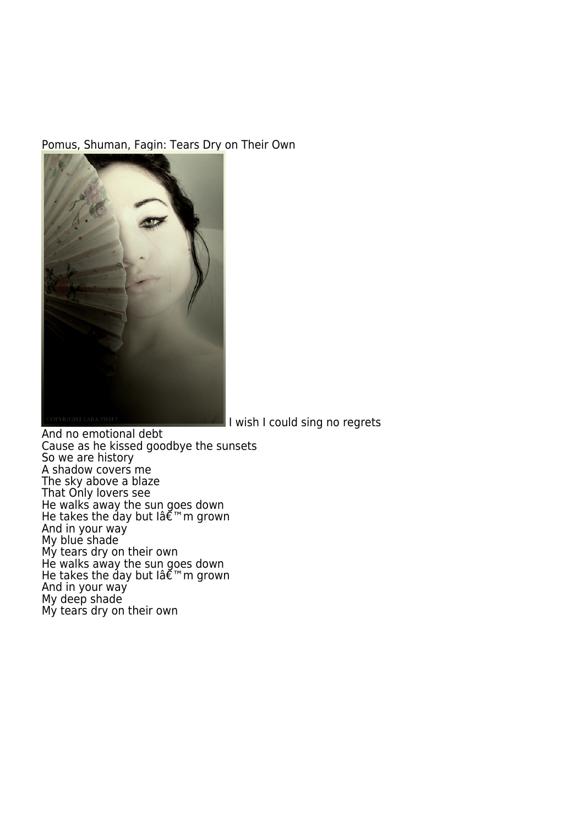## [Pomus, Shuman, Fagin: Tears Dry o](http://www.fortunespawn.com/wp-content/uploads/2007/04/hiding_tears.jpg)n Their Own



I wish I could sing no regrets

And no emotional debt Cause as he kissed goodbye the sunsets So we are history A shadow covers me The sky above a blaze That Only lovers see He walks away the sun goes down He takes the day but lâ $\tilde{\bm{\epsilon}}$ mm grown And in your way My blue shade My tears dry on their own He walks away the sun goes down He takes the day but lâ $\tilde{\bm{\epsilon}}$ mm grown And in your way My deep shade My tears dry on their own